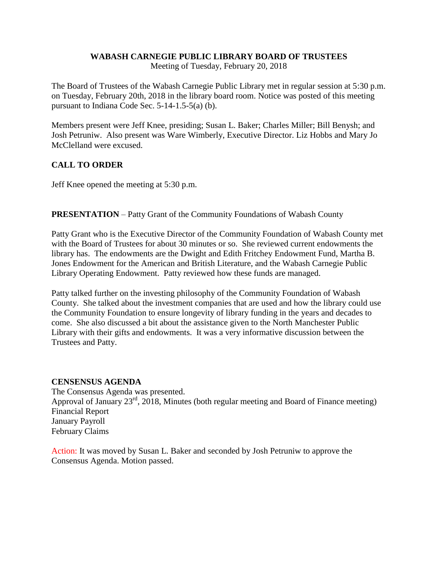## **WABASH CARNEGIE PUBLIC LIBRARY BOARD OF TRUSTEES**

Meeting of Tuesday, February 20, 2018

The Board of Trustees of the Wabash Carnegie Public Library met in regular session at 5:30 p.m. on Tuesday, February 20th, 2018 in the library board room. Notice was posted of this meeting pursuant to Indiana Code Sec. 5-14-1.5-5(a) (b).

Members present were Jeff Knee, presiding; Susan L. Baker; Charles Miller; Bill Benysh; and Josh Petruniw. Also present was Ware Wimberly, Executive Director. Liz Hobbs and Mary Jo McClelland were excused.

# **CALL TO ORDER**

Jeff Knee opened the meeting at 5:30 p.m.

## **PRESENTATION** – Patty Grant of the Community Foundations of Wabash County

Patty Grant who is the Executive Director of the Community Foundation of Wabash County met with the Board of Trustees for about 30 minutes or so. She reviewed current endowments the library has. The endowments are the Dwight and Edith Fritchey Endowment Fund, Martha B. Jones Endowment for the American and British Literature, and the Wabash Carnegie Public Library Operating Endowment. Patty reviewed how these funds are managed.

Patty talked further on the investing philosophy of the Community Foundation of Wabash County. She talked about the investment companies that are used and how the library could use the Community Foundation to ensure longevity of library funding in the years and decades to come. She also discussed a bit about the assistance given to the North Manchester Public Library with their gifts and endowments. It was a very informative discussion between the Trustees and Patty.

## **CENSENSUS AGENDA**

The Consensus Agenda was presented. Approval of January  $23^{\text{rd}}$ ,  $2018$ , Minutes (both regular meeting and Board of Finance meeting) Financial Report January Payroll February Claims

Action: It was moved by Susan L. Baker and seconded by Josh Petruniw to approve the Consensus Agenda. Motion passed.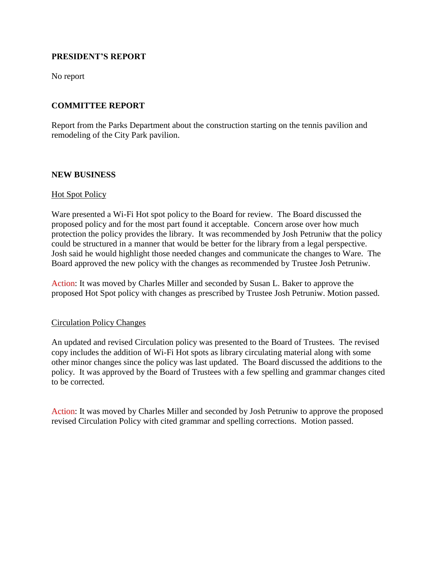## **PRESIDENT'S REPORT**

No report

## **COMMITTEE REPORT**

Report from the Parks Department about the construction starting on the tennis pavilion and remodeling of the City Park pavilion.

## **NEW BUSINESS**

## **Hot Spot Policy**

Ware presented a Wi-Fi Hot spot policy to the Board for review. The Board discussed the proposed policy and for the most part found it acceptable. Concern arose over how much protection the policy provides the library. It was recommended by Josh Petruniw that the policy could be structured in a manner that would be better for the library from a legal perspective. Josh said he would highlight those needed changes and communicate the changes to Ware. The Board approved the new policy with the changes as recommended by Trustee Josh Petruniw.

Action: It was moved by Charles Miller and seconded by Susan L. Baker to approve the proposed Hot Spot policy with changes as prescribed by Trustee Josh Petruniw. Motion passed.

## Circulation Policy Changes

An updated and revised Circulation policy was presented to the Board of Trustees. The revised copy includes the addition of Wi-Fi Hot spots as library circulating material along with some other minor changes since the policy was last updated. The Board discussed the additions to the policy. It was approved by the Board of Trustees with a few spelling and grammar changes cited to be corrected.

Action: It was moved by Charles Miller and seconded by Josh Petruniw to approve the proposed revised Circulation Policy with cited grammar and spelling corrections. Motion passed.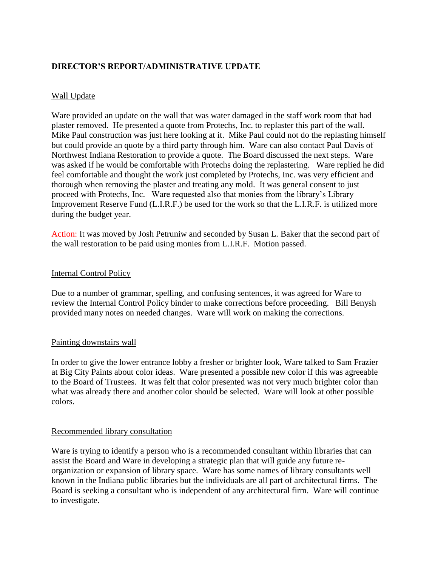## **DIRECTOR'S REPORT/ADMINISTRATIVE UPDATE**

## Wall Update

Ware provided an update on the wall that was water damaged in the staff work room that had plaster removed. He presented a quote from Protechs, Inc. to replaster this part of the wall. Mike Paul construction was just here looking at it. Mike Paul could not do the replasting himself but could provide an quote by a third party through him. Ware can also contact Paul Davis of Northwest Indiana Restoration to provide a quote. The Board discussed the next steps. Ware was asked if he would be comfortable with Protechs doing the replastering. Ware replied he did feel comfortable and thought the work just completed by Protechs, Inc. was very efficient and thorough when removing the plaster and treating any mold. It was general consent to just proceed with Protechs, Inc. Ware requested also that monies from the library's Library Improvement Reserve Fund (L.I.R.F.) be used for the work so that the L.I.R.F. is utilized more during the budget year.

Action: It was moved by Josh Petruniw and seconded by Susan L. Baker that the second part of the wall restoration to be paid using monies from L.I.R.F. Motion passed.

## Internal Control Policy

Due to a number of grammar, spelling, and confusing sentences, it was agreed for Ware to review the Internal Control Policy binder to make corrections before proceeding. Bill Benysh provided many notes on needed changes. Ware will work on making the corrections.

## Painting downstairs wall

In order to give the lower entrance lobby a fresher or brighter look, Ware talked to Sam Frazier at Big City Paints about color ideas. Ware presented a possible new color if this was agreeable to the Board of Trustees. It was felt that color presented was not very much brighter color than what was already there and another color should be selected. Ware will look at other possible colors.

## Recommended library consultation

Ware is trying to identify a person who is a recommended consultant within libraries that can assist the Board and Ware in developing a strategic plan that will guide any future reorganization or expansion of library space. Ware has some names of library consultants well known in the Indiana public libraries but the individuals are all part of architectural firms. The Board is seeking a consultant who is independent of any architectural firm. Ware will continue to investigate.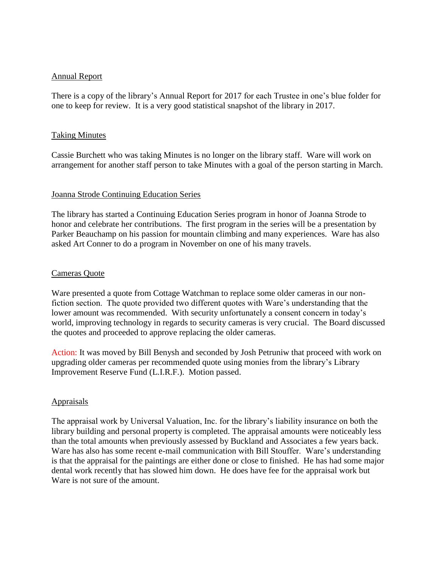#### Annual Report

There is a copy of the library's Annual Report for 2017 for each Trustee in one's blue folder for one to keep for review. It is a very good statistical snapshot of the library in 2017.

#### Taking Minutes

Cassie Burchett who was taking Minutes is no longer on the library staff. Ware will work on arrangement for another staff person to take Minutes with a goal of the person starting in March.

#### Joanna Strode Continuing Education Series

The library has started a Continuing Education Series program in honor of Joanna Strode to honor and celebrate her contributions. The first program in the series will be a presentation by Parker Beauchamp on his passion for mountain climbing and many experiences. Ware has also asked Art Conner to do a program in November on one of his many travels.

#### Cameras Quote

Ware presented a quote from Cottage Watchman to replace some older cameras in our nonfiction section. The quote provided two different quotes with Ware's understanding that the lower amount was recommended. With security unfortunately a consent concern in today's world, improving technology in regards to security cameras is very crucial. The Board discussed the quotes and proceeded to approve replacing the older cameras.

Action: It was moved by Bill Benysh and seconded by Josh Petruniw that proceed with work on upgrading older cameras per recommended quote using monies from the library's Library Improvement Reserve Fund (L.I.R.F.). Motion passed.

## Appraisals

The appraisal work by Universal Valuation, Inc. for the library's liability insurance on both the library building and personal property is completed. The appraisal amounts were noticeably less than the total amounts when previously assessed by Buckland and Associates a few years back. Ware has also has some recent e-mail communication with Bill Stouffer. Ware's understanding is that the appraisal for the paintings are either done or close to finished. He has had some major dental work recently that has slowed him down. He does have fee for the appraisal work but Ware is not sure of the amount.